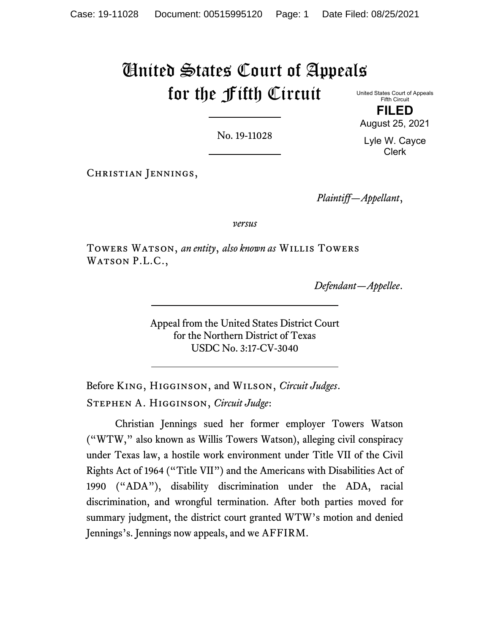# United States Court of Appeals for the Fifth Circuit

No. 19-11028

United States Court of Appeals Fifth Circuit **FILED**

August 25, 2021

Lyle W. Cayce Clerk

Christian Jennings,

*Plaintiff—Appellant*,

*versus*

Towers Watson, *an entity*, *also known as* Willis Towers WATSON P.L.C.,

*Defendant—Appellee*.

Appeal from the United States District Court for the Northern District of Texas USDC No. 3:17-CV-3040

Before King, Higginson, and Wilson, *Circuit Judges*. Stephen A. Higginson, *Circuit Judge*:

Christian Jennings sued her former employer Towers Watson ("WTW," also known as Willis Towers Watson), alleging civil conspiracy under Texas law, a hostile work environment under Title VII of the Civil Rights Act of 1964 ("Title VII") and the Americans with Disabilities Act of 1990 ("ADA"), disability discrimination under the ADA, racial discrimination, and wrongful termination. After both parties moved for summary judgment, the district court granted WTW's motion and denied Jennings's. Jennings now appeals, and we AFFIRM.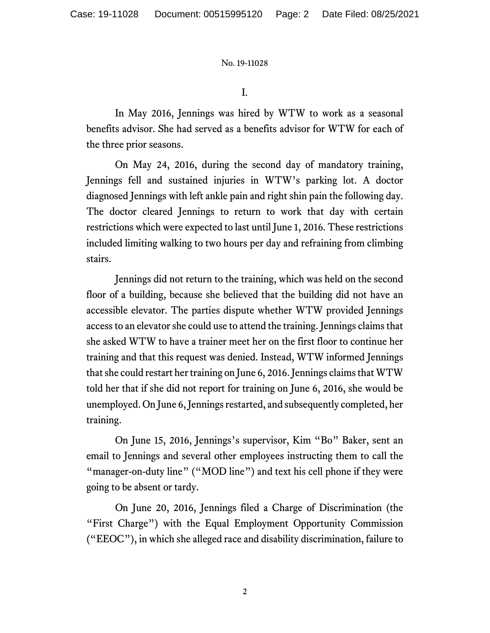I.

In May 2016, Jennings was hired by WTW to work as a seasonal benefits advisor. She had served as a benefits advisor for WTW for each of the three prior seasons.

On May 24, 2016, during the second day of mandatory training, Jennings fell and sustained injuries in WTW's parking lot. A doctor diagnosed Jennings with left ankle pain and right shin pain the following day. The doctor cleared Jennings to return to work that day with certain restrictions which were expected to last until June 1, 2016. These restrictions included limiting walking to two hours per day and refraining from climbing stairs.

Jennings did not return to the training, which was held on the second floor of a building, because she believed that the building did not have an accessible elevator. The parties dispute whether WTW provided Jennings access to an elevator she could use to attend the training. Jennings claims that she asked WTW to have a trainer meet her on the first floor to continue her training and that this request was denied. Instead, WTW informed Jennings that she could restart her training on June 6, 2016. Jennings claims that WTW told her that if she did not report for training on June 6, 2016, she would be unemployed. On June 6, Jennings restarted, and subsequently completed, her training.

On June 15, 2016, Jennings's supervisor, Kim "Bo" Baker, sent an email to Jennings and several other employees instructing them to call the "manager-on-duty line" ("MOD line") and text his cell phone if they were going to be absent or tardy.

On June 20, 2016, Jennings filed a Charge of Discrimination (the "First Charge") with the Equal Employment Opportunity Commission ("EEOC"), in which she alleged race and disability discrimination, failure to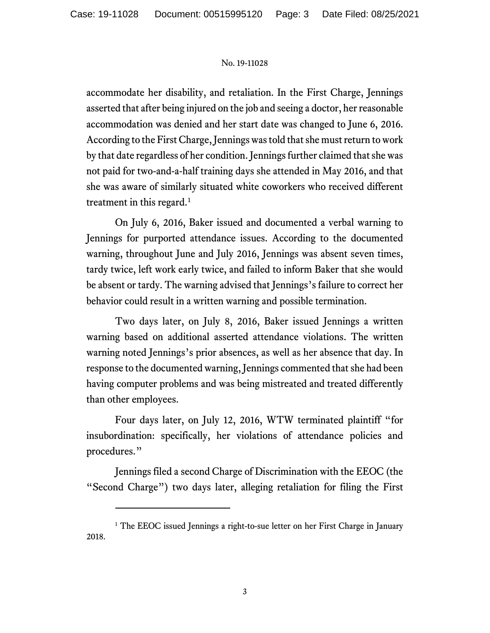accommodate her disability, and retaliation. In the First Charge, Jennings asserted that after being injured on the job and seeing a doctor, her reasonable accommodation was denied and her start date was changed to June 6, 2016. According to the First Charge, Jennings was told that she must return to work by that date regardless of her condition. Jennings further claimed that she was not paid for two-and-a-half training days she attended in May 2016, and that she was aware of similarly situated white coworkers who received different treatment in this regard. [1](#page-2-0)

On July 6, 2016, Baker issued and documented a verbal warning to Jennings for purported attendance issues. According to the documented warning, throughout June and July 2016, Jennings was absent seven times, tardy twice, left work early twice, and failed to inform Baker that she would be absent or tardy. The warning advised that Jennings's failure to correct her behavior could result in a written warning and possible termination.

Two days later, on July 8, 2016, Baker issued Jennings a written warning based on additional asserted attendance violations. The written warning noted Jennings's prior absences, as well as her absence that day. In response to the documented warning, Jennings commented that she had been having computer problems and was being mistreated and treated differently than other employees.

Four days later, on July 12, 2016, WTW terminated plaintiff "for insubordination: specifically, her violations of attendance policies and procedures."

Jennings filed a second Charge of Discrimination with the EEOC (the "Second Charge") two days later, alleging retaliation for filing the First

<span id="page-2-0"></span><sup>&</sup>lt;sup>1</sup> The EEOC issued Jennings a right-to-sue letter on her First Charge in January 2018.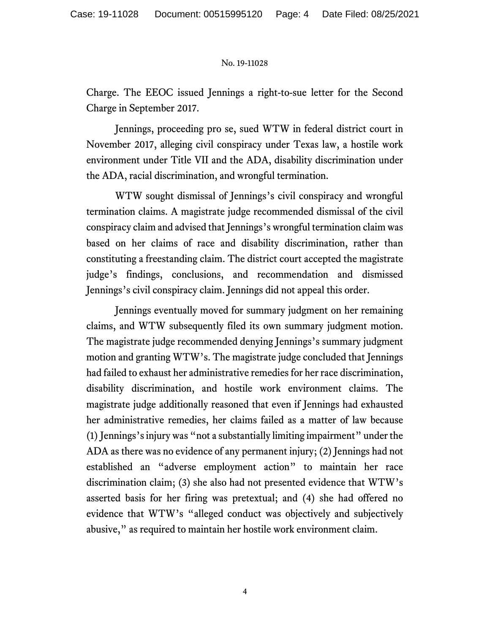Charge. The EEOC issued Jennings a right-to-sue letter for the Second Charge in September 2017.

Jennings, proceeding pro se, sued WTW in federal district court in November 2017, alleging civil conspiracy under Texas law, a hostile work environment under Title VII and the ADA, disability discrimination under the ADA, racial discrimination, and wrongful termination.

WTW sought dismissal of Jennings's civil conspiracy and wrongful termination claims. A magistrate judge recommended dismissal of the civil conspiracy claim and advised that Jennings's wrongful termination claim was based on her claims of race and disability discrimination, rather than constituting a freestanding claim. The district court accepted the magistrate judge's findings, conclusions, and recommendation and dismissed Jennings's civil conspiracy claim. Jennings did not appeal this order.

Jennings eventually moved for summary judgment on her remaining claims, and WTW subsequently filed its own summary judgment motion. The magistrate judge recommended denying Jennings's summary judgment motion and granting WTW's. The magistrate judge concluded that Jennings had failed to exhaust her administrative remedies for her race discrimination, disability discrimination, and hostile work environment claims. The magistrate judge additionally reasoned that even if Jennings had exhausted her administrative remedies, her claims failed as a matter of law because (1) Jennings's injury was "not a substantially limiting impairment" under the ADA as there was no evidence of any permanent injury; (2) Jennings had not established an "adverse employment action" to maintain her race discrimination claim; (3) she also had not presented evidence that WTW's asserted basis for her firing was pretextual; and (4) she had offered no evidence that WTW's "alleged conduct was objectively and subjectively abusive," as required to maintain her hostile work environment claim.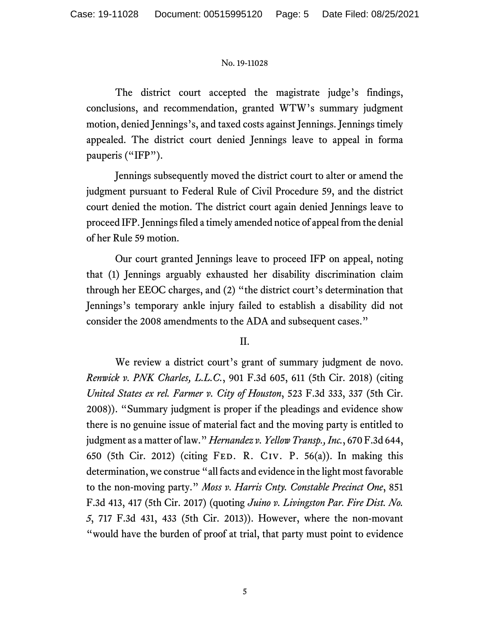The district court accepted the magistrate judge's findings, conclusions, and recommendation, granted WTW's summary judgment motion, denied Jennings's, and taxed costs against Jennings. Jennings timely appealed. The district court denied Jennings leave to appeal in forma pauperis ("IFP").

Jennings subsequently moved the district court to alter or amend the judgment pursuant to Federal Rule of Civil Procedure 59, and the district court denied the motion. The district court again denied Jennings leave to proceed IFP. Jennings filed a timely amended notice of appeal from the denial of her Rule 59 motion.

Our court granted Jennings leave to proceed IFP on appeal, noting that (1) Jennings arguably exhausted her disability discrimination claim through her EEOC charges, and (2) "the district court's determination that Jennings's temporary ankle injury failed to establish a disability did not consider the 2008 amendments to the ADA and subsequent cases."

II.

We review a district court's grant of summary judgment de novo. *Renwick v. PNK Charles, L.L.C.*, 901 F.3d 605, 611 (5th Cir. 2018) (citing *United States ex rel. Farmer v. City of Houston*, 523 F.3d 333, 337 (5th Cir. 2008)). "Summary judgment is proper if the pleadings and evidence show there is no genuine issue of material fact and the moving party is entitled to judgment as a matter of law." *Hernandez v. Yellow Transp., Inc.*, 670 F.3d 644, 650 (5th Cir. 2012) (citing Fed. R. Civ. P. 56(a)). In making this determination, we construe "all facts and evidence in the light most favorable to the non-moving party." *Moss v. Harris Cnty. Constable Precinct One*, 851 F.3d 413, 417 (5th Cir. 2017) (quoting *Juino v. Livingston Par. Fire Dist. No. 5*, 717 F.3d 431, 433 (5th Cir. 2013)). However, where the non-movant "would have the burden of proof at trial, that party must point to evidence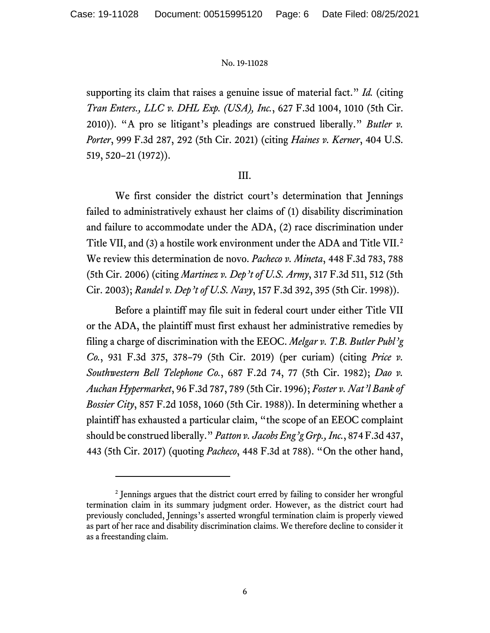supporting its claim that raises a genuine issue of material fact." *Id.* (citing *Tran Enters., LLC v. DHL Exp. (USA), Inc.*, 627 F.3d 1004, 1010 (5th Cir. 2010)). "A pro se litigant's pleadings are construed liberally." *Butler v. Porter*, 999 F.3d 287, 292 (5th Cir. 2021) (citing *Haines v. Kerner*, 404 U.S. 519, 520–21 (1972)).

## III.

We first consider the district court's determination that Jennings failed to administratively exhaust her claims of (1) disability discrimination and failure to accommodate under the ADA, (2) race discrimination under Title VII, and (3) a hostile work environment under the ADA and Title VII.[2](#page-5-0) We review this determination de novo. *Pacheco v. Mineta*, 448 F.3d 783, 788 (5th Cir. 2006) (citing *Martinez v. Dep't of U.S. Army*, 317 F.3d 511, 512 (5th Cir. 2003); *Randel v. Dep't of U.S. Navy*, 157 F.3d 392, 395 (5th Cir. 1998)).

Before a plaintiff may file suit in federal court under either Title VII or the ADA, the plaintiff must first exhaust her administrative remedies by filing a charge of discrimination with the EEOC. *Melgar v. T.B. Butler Publ'g Co.*, 931 F.3d 375, 378–79 (5th Cir. 2019) (per curiam) (citing *Price v. Southwestern Bell Telephone Co.*, 687 F.2d 74, 77 (5th Cir. 1982); *Dao v. Auchan Hypermarket*, 96 F.3d 787, 789 (5th Cir. 1996); *Foster v. Nat'l Bank of Bossier City*, 857 F.2d 1058, 1060 (5th Cir. 1988)). In determining whether a plaintiff has exhausted a particular claim, "the scope of an EEOC complaint should be construed liberally." *Patton v. Jacobs Eng'g Grp., Inc.*, 874 F.3d 437, 443 (5th Cir. 2017) (quoting *Pacheco*, 448 F.3d at 788). "On the other hand,

<span id="page-5-0"></span><sup>2</sup> Jennings argues that the district court erred by failing to consider her wrongful termination claim in its summary judgment order. However, as the district court had previously concluded, Jennings's asserted wrongful termination claim is properly viewed as part of her race and disability discrimination claims. We therefore decline to consider it as a freestanding claim.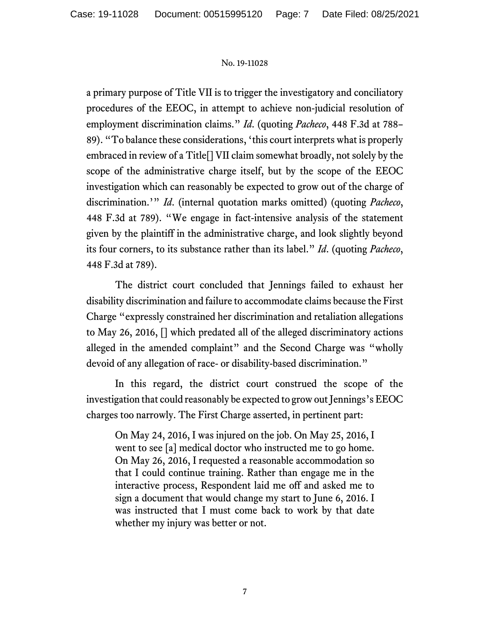a primary purpose of Title VII is to trigger the investigatory and conciliatory procedures of the EEOC, in attempt to achieve non-judicial resolution of employment discrimination claims." *Id*. (quoting *Pacheco*, 448 F.3d at 788– 89). "To balance these considerations, 'this court interprets what is properly embraced in review of a Title[] VII claim somewhat broadly, not solely by the scope of the administrative charge itself, but by the scope of the EEOC investigation which can reasonably be expected to grow out of the charge of discrimination.'" *Id*. (internal quotation marks omitted) (quoting *Pacheco*, 448 F.3d at 789). "We engage in fact-intensive analysis of the statement given by the plaintiff in the administrative charge, and look slightly beyond its four corners, to its substance rather than its label." *Id*. (quoting *Pacheco*, 448 F.3d at 789).

The district court concluded that Jennings failed to exhaust her disability discrimination and failure to accommodate claims because the First Charge "expressly constrained her discrimination and retaliation allegations to May 26, 2016, [] which predated all of the alleged discriminatory actions alleged in the amended complaint" and the Second Charge was "wholly devoid of any allegation of race- or disability-based discrimination."

In this regard, the district court construed the scope of the investigation that could reasonably be expected to grow out Jennings's EEOC charges too narrowly. The First Charge asserted, in pertinent part:

On May 24, 2016, I was injured on the job. On May 25, 2016, I went to see [a] medical doctor who instructed me to go home. On May 26, 2016, I requested a reasonable accommodation so that I could continue training. Rather than engage me in the interactive process, Respondent laid me off and asked me to sign a document that would change my start to June 6, 2016. I was instructed that I must come back to work by that date whether my injury was better or not.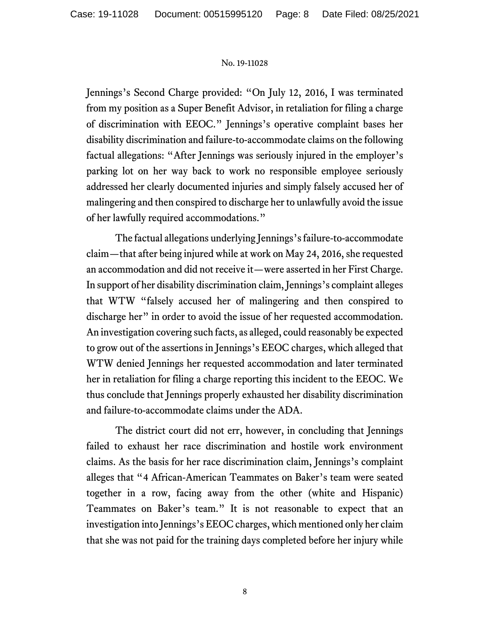Jennings's Second Charge provided: "On July 12, 2016, I was terminated from my position as a Super Benefit Advisor, in retaliation for filing a charge of discrimination with EEOC." Jennings's operative complaint bases her disability discrimination and failure-to-accommodate claims on the following factual allegations: "After Jennings was seriously injured in the employer's parking lot on her way back to work no responsible employee seriously addressed her clearly documented injuries and simply falsely accused her of malingering and then conspired to discharge her to unlawfully avoid the issue of her lawfully required accommodations."

The factual allegations underlying Jennings's failure-to-accommodate claim—that after being injured while at work on May 24, 2016, she requested an accommodation and did not receive it—were asserted in her First Charge. In support of her disability discrimination claim, Jennings's complaint alleges that WTW "falsely accused her of malingering and then conspired to discharge her" in order to avoid the issue of her requested accommodation. An investigation covering such facts, as alleged, could reasonably be expected to grow out of the assertions in Jennings's EEOC charges, which alleged that WTW denied Jennings her requested accommodation and later terminated her in retaliation for filing a charge reporting this incident to the EEOC. We thus conclude that Jennings properly exhausted her disability discrimination and failure-to-accommodate claims under the ADA.

The district court did not err, however, in concluding that Jennings failed to exhaust her race discrimination and hostile work environment claims. As the basis for her race discrimination claim, Jennings's complaint alleges that "4 African-American Teammates on Baker's team were seated together in a row, facing away from the other (white and Hispanic) Teammates on Baker's team." It is not reasonable to expect that an investigation into Jennings's EEOC charges, which mentioned only her claim that she was not paid for the training days completed before her injury while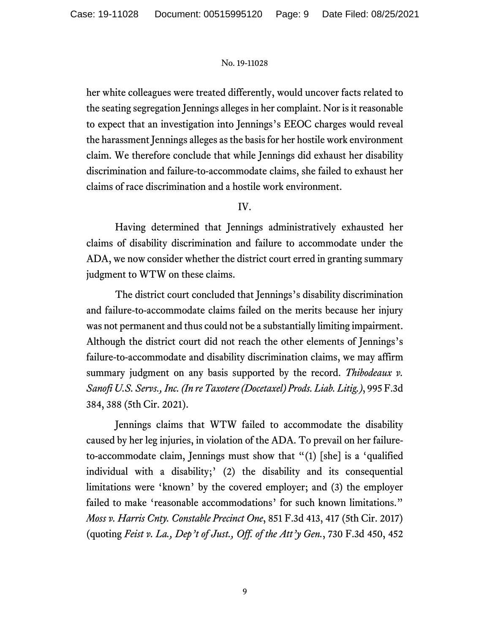her white colleagues were treated differently, would uncover facts related to the seating segregation Jennings alleges in her complaint. Nor is it reasonable to expect that an investigation into Jennings's EEOC charges would reveal the harassment Jennings alleges as the basis for her hostile work environment claim. We therefore conclude that while Jennings did exhaust her disability discrimination and failure-to-accommodate claims, she failed to exhaust her claims of race discrimination and a hostile work environment.

# IV.

Having determined that Jennings administratively exhausted her claims of disability discrimination and failure to accommodate under the ADA, we now consider whether the district court erred in granting summary judgment to WTW on these claims.

The district court concluded that Jennings's disability discrimination and failure-to-accommodate claims failed on the merits because her injury was not permanent and thus could not be a substantially limiting impairment. Although the district court did not reach the other elements of Jennings's failure-to-accommodate and disability discrimination claims, we may affirm summary judgment on any basis supported by the record. *Thibodeaux v. Sanofi U.S. Servs., Inc. (In re Taxotere (Docetaxel) Prods. Liab. Litig.)*, 995 F.3d 384, 388 (5th Cir. 2021).

Jennings claims that WTW failed to accommodate the disability caused by her leg injuries, in violation of the ADA. To prevail on her failureto-accommodate claim, Jennings must show that "(1) [she] is a 'qualified individual with a disability;' (2) the disability and its consequential limitations were 'known' by the covered employer; and (3) the employer failed to make 'reasonable accommodations' for such known limitations." *Moss v. Harris Cnty. Constable Precinct One*, 851 F.3d 413, 417 (5th Cir. 2017) (quoting *Feist v. La., Dep't of Just., Off. of the Att'y Gen.*, 730 F.3d 450, 452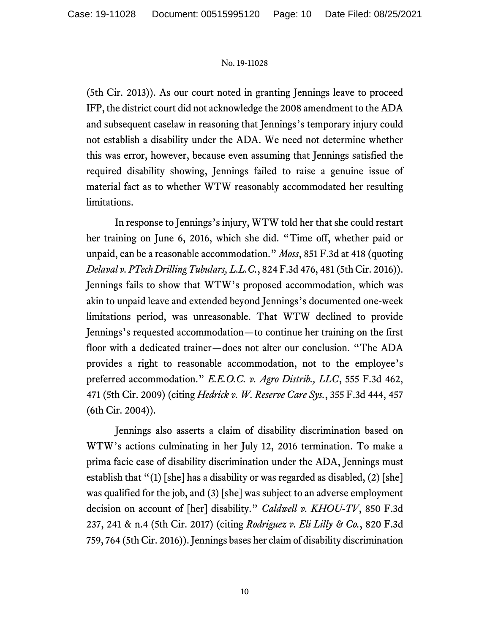(5th Cir. 2013)). As our court noted in granting Jennings leave to proceed IFP, the district court did not acknowledge the 2008 amendment to the ADA and subsequent caselaw in reasoning that Jennings's temporary injury could not establish a disability under the ADA. We need not determine whether this was error, however, because even assuming that Jennings satisfied the required disability showing, Jennings failed to raise a genuine issue of material fact as to whether WTW reasonably accommodated her resulting limitations.

In response to Jennings's injury, WTW told her that she could restart her training on June 6, 2016, which she did. "Time off, whether paid or unpaid, can be a reasonable accommodation." *Moss*, 851 F.3d at 418 (quoting *Delaval v. PTech Drilling Tubulars, L.L.C.*, 824 F.3d 476, 481 (5th Cir. 2016)). Jennings fails to show that WTW's proposed accommodation, which was akin to unpaid leave and extended beyond Jennings's documented one-week limitations period, was unreasonable. That WTW declined to provide Jennings's requested accommodation—to continue her training on the first floor with a dedicated trainer—does not alter our conclusion. "The ADA provides a right to reasonable accommodation, not to the employee's preferred accommodation." *E.E.O.C. v. Agro Distrib., LLC*, 555 F.3d 462, 471 (5th Cir. 2009) (citing *Hedrick v. W. Reserve Care Sys.*, 355 F.3d 444, 457 (6th Cir. 2004)).

Jennings also asserts a claim of disability discrimination based on WTW's actions culminating in her July 12, 2016 termination. To make a prima facie case of disability discrimination under the ADA, Jennings must establish that " $(1)$  [she] has a disability or was regarded as disabled,  $(2)$  [she] was qualified for the job, and (3) [she] was subject to an adverse employment decision on account of [her] disability." *Caldwell v. KHOU-TV*, 850 F.3d 237, 241 & n.4 (5th Cir. 2017) (citing *Rodriguez v. Eli Lilly & Co.*, 820 F.3d 759, 764 (5th Cir. 2016)). Jennings bases her claim of disability discrimination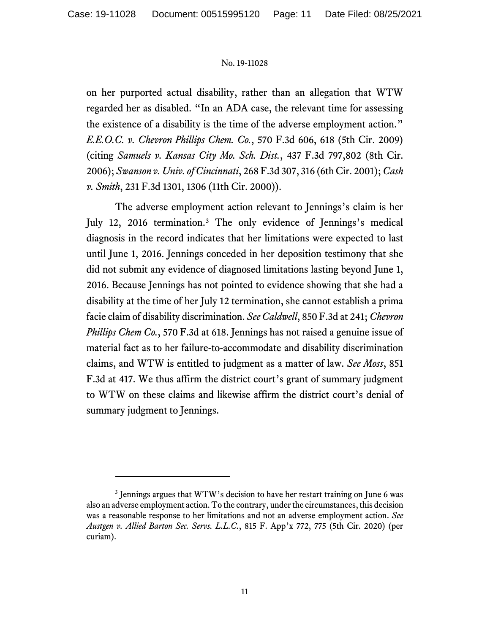on her purported actual disability, rather than an allegation that WTW regarded her as disabled. "In an ADA case, the relevant time for assessing the existence of a disability is the time of the adverse employment action." *E.E.O.C. v. Chevron Phillips Chem. Co.*, 570 F.3d 606, 618 (5th Cir. 2009) (citing *Samuels v. Kansas City Mo. Sch. Dist.*, 437 F.3d 797,802 (8th Cir. 2006); *Swanson v. Univ. of Cincinnati*, 268 F.3d 307, 316 (6th Cir. 2001); *Cash v. Smith*, 231 F.3d 1301, 1306 (11th Cir. 2000)).

The adverse employment action relevant to Jennings's claim is her July 12, 2016 termination.[3](#page-10-0) The only evidence of Jennings's medical diagnosis in the record indicates that her limitations were expected to last until June 1, 2016. Jennings conceded in her deposition testimony that she did not submit any evidence of diagnosed limitations lasting beyond June 1, 2016. Because Jennings has not pointed to evidence showing that she had a disability at the time of her July 12 termination, she cannot establish a prima facie claim of disability discrimination. *See Caldwell*, 850 F.3d at 241; *Chevron Phillips Chem Co.*, 570 F.3d at 618. Jennings has not raised a genuine issue of material fact as to her failure-to-accommodate and disability discrimination claims, and WTW is entitled to judgment as a matter of law. *See Moss*, 851 F.3d at 417. We thus affirm the district court's grant of summary judgment to WTW on these claims and likewise affirm the district court's denial of summary judgment to Jennings.

<span id="page-10-0"></span><sup>&</sup>lt;sup>3</sup> Jennings argues that WTW's decision to have her restart training on June 6 was also an adverse employment action. To the contrary, under the circumstances, this decision was a reasonable response to her limitations and not an adverse employment action. *See Austgen v. Allied Barton Sec. Servs. L.L.C.*, 815 F. App'x 772, 775 (5th Cir. 2020) (per curiam).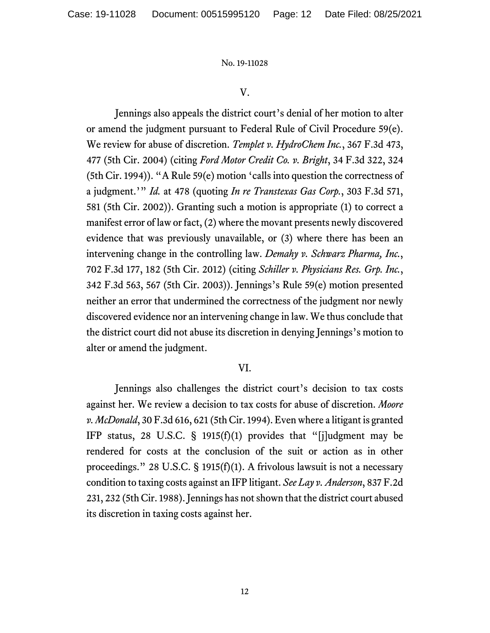## V.

Jennings also appeals the district court's denial of her motion to alter or amend the judgment pursuant to Federal Rule of Civil Procedure 59(e). We review for abuse of discretion. *Templet v. HydroChem Inc.*, 367 F.3d 473, 477 (5th Cir. 2004) (citing *Ford Motor Credit Co. v. Bright*, 34 F.3d 322, 324 (5th Cir. 1994)). "A Rule 59(e) motion 'calls into question the correctness of a judgment.'" *Id.* at 478 (quoting *In re Transtexas Gas Corp.*, 303 F.3d 571, 581 (5th Cir. 2002)). Granting such a motion is appropriate (1) to correct a manifest error of law or fact, (2) where the movant presents newly discovered evidence that was previously unavailable, or (3) where there has been an intervening change in the controlling law. *Demahy v. Schwarz Pharma, Inc.*, 702 F.3d 177, 182 (5th Cir. 2012) (citing *Schiller v. Physicians Res. Grp. Inc.*, 342 F.3d 563, 567 (5th Cir. 2003)). Jennings's Rule 59(e) motion presented neither an error that undermined the correctness of the judgment nor newly discovered evidence nor an intervening change in law. We thus conclude that the district court did not abuse its discretion in denying Jennings's motion to alter or amend the judgment.

## VI.

Jennings also challenges the district court's decision to tax costs against her. We review a decision to tax costs for abuse of discretion. *Moore v. McDonald*, 30 F.3d 616, 621 (5th Cir. 1994). Even where a litigant is granted IFP status, 28 U.S.C. § 1915(f)(1) provides that "[j]udgment may be rendered for costs at the conclusion of the suit or action as in other proceedings." 28 U.S.C. § 1915(f)(1). A frivolous lawsuit is not a necessary condition to taxing costs against an IFP litigant. *See Lay v. Anderson*, 837 F.2d 231, 232 (5th Cir. 1988). Jennings has not shown that the district court abused its discretion in taxing costs against her.